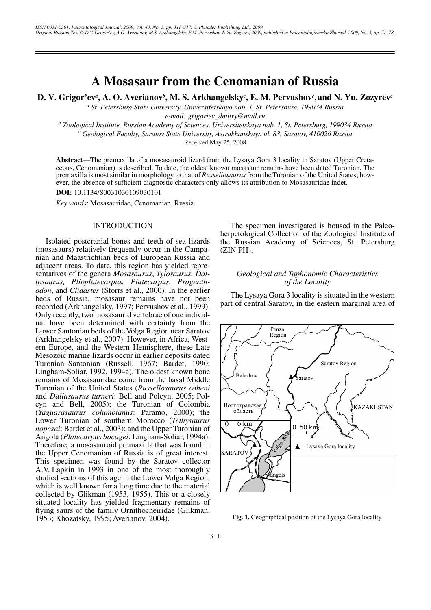# **A Mosasaur from the Cenomanian of Russia**

**D. V. Grigor'ev***<sup>a</sup>* **, A. O. Averianov***<sup>b</sup>* **, M. S. Arkhangelsky***<sup>c</sup>* **, E. M. Pervushov***<sup>c</sup>* **, and N. Yu. Zozyrev***<sup>c</sup>*

*a St. Petersburg State University, Universitetskaya nab. 1, St. Petersburg, 199034 Russia e-mail: grigoriev\_dmitry@mail.ru*

*b Zoological Institute, Russian Academy of Sciences, Universitetskaya nab. 1, St. Petersburg, 199034 Russia c Geological Faculty, Saratov State University, Astrakhanskaya ul. 83, Saratov, 410026 Russia*

Received May 25, 2008

**Abstract**—The premaxilla of a mosasauroid lizard from the Lysaya Gora 3 locality in Saratov (Upper Cretaceous, Cenomanian) is described. To date, the oldest known mosasaur remains have been dated Turonian. The premaxilla is most similar in morphology to that of *Russellosaurus* from the Turonian of the United States; however, the absence of sufficient diagnostic characters only allows its attribution to Mosasauridae indet.

**DOI:** 10.1134/S0031030109030101

*Key words*: Mosasauridae, Cenomanian, Russia.

#### INTRODUCTION

Isolated postcranial bones and teeth of sea lizards (mosasaurs) relatively frequently occur in the Campanian and Maastrichtian beds of European Russia and adjacent areas. To date, this region has yielded representatives of the genera *Mosasaurus*, *Tylosaurus, Dollosaurus, Plioplatecarpus, Platecarpus, Prognathodon*, and *Clidastes* (Storrs et al., 2000). In the earlier beds of Russia, mosasaur remains have not been recorded (Arkhangelsky, 1997; Pervushov et al., 1999). Only recently, two mosasaurid vertebrae of one individual have been determined with certainty from the Lower Santonian beds of the Volga Region near Saratov (Arkhangelsky et al., 2007). However, in Africa, Western Europe, and the Western Hemisphere, these Late Mesozoic marine lizards occur in earlier deposits dated Turonian–Santonian (Russell, 1967; Bardet, 1990; Lingham-Soliar, 1992, 1994a). The oldest known bone remains of Mosasauridae come from the basal Middle Turonian of the United States (*Russellosaurus coheni* and *Dallasaurus turneri*: Bell and Polcyn, 2005; Polcyn and Bell, 2005); the Turonian of Colombia (*Yaguarasaurus columbianus*: Paramo, 2000); the Lower Turonian of southern Morocco (*Tethysaurus nopcsai*: Bardet et al., 2003); and the Upper Turonian of Angola (*Platecarpus bocagei*: Lingham-Soliar, 1994a). Therefore, a mosasauroid premaxilla that was found in the Upper Cenomanian of Russia is of great interest. This specimen was found by the Saratov collector A.V. Lapkin in 1993 in one of the most thoroughly studied sections of this age in the Lower Volga Region, which is well known for a long time due to the material collected by Glikman (1953, 1955). This or a closely situated locality has yielded fragmentary remains of flying saurs of the family Ornithocheiridae (Glikman, 1953; Khozatsky, 1995; Averianov, 2004).

The specimen investigated is housed in the Paleoherpetological Collection of the Zoological Institute of the Russian Academy of Sciences, St. Petersburg (ZIN PH).

## *Geological and Taphonomic Characteristics of the Locality*

The Lysaya Gora 3 locality is situated in the western part of central Saratov, in the eastern marginal area of



**Fig. 1.** Geographical position of the Lysaya Gora locality.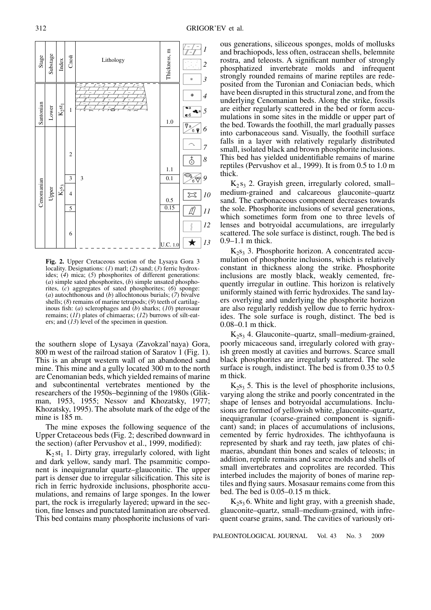

**Fig. 2.** Upper Cretaceous section of the Lysaya Gora 3 locality. Designations: (*1*) marl; (*2*) sand; (*3*) ferric hydroxides; (*4*) mica; (*5*) phosphorites of different generations: (*a*) simple sated phosphorites, (*b*) simple unsated phosphorites, (*c*) aggregates of sated phosphorites; (*6*) sponge: (*a*) autochthonous and (*b*) allochtonous burials; (*7*) bivalve shells; (*8*) remains of marine tetrapods; (*9*) teeth of cartilaginous fish: (*a*) sclerophages and (*b*) sharks; (*10*) pterosaur remains; (*11*) plates of chimaeras; (*12*) burrows of silt-eaters; and (13) level of the specimen in question.

the southern slope of Lysaya (Zavokzal'naya) Gora, 800 m west of the railroad station of Saratov 1 (Fig. 1). This is an abrupt western wall of an abandoned sand mine. This mine and a gully located 300 m to the north are Cenomanian beds, which yielded remains of marine and subcontinental vertebrates mentioned by the researchers of the 1950s–beginning of the 1980s (Glikman, 1953, 1955; Nessov and Khozatsky, 1977; Khozatsky, 1995). The absolute mark of the edge of the mine is 185 m.

The mine exposes the following sequence of the Upper Cretaceous beds (Fig. 2; described downward in the section) (after Pervushov et al., 1999, modified):

 $K_2$  st<sub>1</sub> 1. Dirty gray, irregularly colored, with light and dark yellow, sandy marl. The psammitic component is inequigranular quartz–glauconitic. The upper part is denser due to irregular silicification. This site is rich in ferric hydroxide inclusions, phosphorite accumulations, and remains of large sponges. In the lower part, the rock is irregularly layered; upward in the section, fine lenses and punctated lamination are observed. This bed contains many phosphorite inclusions of various generations, siliceous sponges, molds of mollusks and brachiopods, less often, ostracean shells, belemnite rostra, and teleosts. A significant number of strongly phosphatized invertebrate molds and infrequent strongly rounded remains of marine reptiles are redeposited from the Turonian and Coniacian beds, which have been disrupted in this structural zone, and from the underlying Cenomanian beds. Along the strike, fossils are either regularly scattered in the bed or form accumulations in some sites in the middle or upper part of the bed. Towards the foothill, the marl gradually passes into carbonaceous sand. Visually, the foothill surface falls in a layer with relatively regularly distributed small, isolated black and brown phosphorite inclusions. This bed has yielded unidentifiable remains of marine reptiles (Pervushov et al., 1999). It is from 0.5 to 1.0 m thick.

 $K_2s_3$  2. Grayish green, irregularly colored, small– medium-grained and calcareous glauconite–quartz sand. The carbonaceous component decreases towards the sole. Phosphorite inclusions of several generations, which sometimes form from one to three levels of lenses and botryoidal accumulations, are irregularly scattered. The sole surface is distinct, rough. The bed is 0.9–1.1 m thick.

 $K_2$ s<sub>3</sub> 3. Phosphorite horizon. A concentrated accumulation of phosphorite inclusions, which is relatively constant in thickness along the strike. Phosphorite inclusions are mostly black, weakly cemented, frequently irregular in outline. This horizon is relatively uniformly stained with ferric hydroxides. The sand layers overlying and underlying the phosphorite horizon are also regularly reddish yellow due to ferric hydroxides. The sole surface is rough, distinct. The bed is 0.08–0.1 m thick.

 $K_2s_3$  4. Glauconite–quartz, small–medium-grained, poorly micaceous sand, irregularly colored with grayish green mostly at cavities and burrows. Scarce small black phosphorites are irregularly scattered. The sole surface is rough, indistinct. The bed is from 0.35 to 0.5 m thick.

 $K_2s_3$  5. This is the level of phosphorite inclusions, varying along the strike and poorly concentrated in the shape of lenses and botryoidal accumulations. Inclusions are formed of yellowish white, glauconite–quartz, inequigranular (coarse-grained component is significant) sand; in places of accumulations of inclusions, cemented by ferric hydroxides. The ichthyofauna is represented by shark and ray teeth, jaw plates of chimaeras, abundant thin bones and scales of teleosts; in addition, reptile remains and scarce molds and shells of small invertebrates and coprolites are recorded. This interbed includes the majority of bones of marine reptiles and flying saurs. Mosasaur remains come from this bed. The bed is 0.05–0.15 m thick.

 $K<sub>2</sub>S<sub>3</sub>$  6. White and light gray, with a greenish shade, glauconite–quartz, small–medium-grained, with infrequent coarse grains, sand. The cavities of variously ori-

PALEONTOLOGICAL JOURNAL Vol. 43 No. 3 2009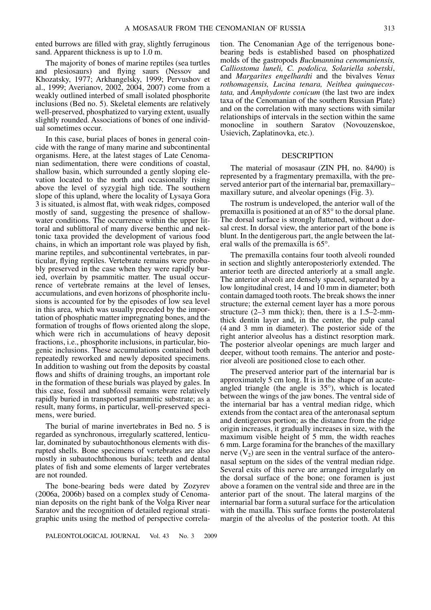ented burrows are filled with gray, slightly ferruginous sand. Apparent thickness is up to 1.0 m.

The majority of bones of marine reptiles (sea turtles and plesiosaurs) and flying saurs (Nessov and Khozatsky, 1977; Arkhangelsky, 1999; Pervushov et al., 1999; Averianov, 2002, 2004, 2007) come from a weakly outlined interbed of small isolated phosphorite inclusions (Bed no. 5). Skeletal elements are relatively well-preserved, phosphatized to varying extent, usually slightly rounded. Associations of bones of one individual sometimes occur.

In this case, burial places of bones in general coincide with the range of many marine and subcontinental organisms. Here, at the latest stages of Late Cenomanian sedimentation, there were conditions of coastal, shallow basin, which surrounded a gently sloping elevation located to the north and occasionally rising above the level of syzygial high tide. The southern slope of this upland, where the locality of Lysaya Gora 3 is situated, is almost flat, with weak ridges, composed mostly of sand, suggesting the presence of shallowwater conditions. The occurrence within the upper littoral and sublittoral of many diverse benthic and nektonic taxa provided the development of various food chains, in which an important role was played by fish, marine reptiles, and subcontinental vertebrates, in particular, flying reptiles. Vertebrate remains were probably preserved in the case when they were rapidly buried, overlain by psammitic matter. The usual occurrence of vertebrate remains at the level of lenses, accumulations, and even horizons of phosphorite inclusions is accounted for by the episodes of low sea level in this area, which was usually preceded by the importation of phosphatic matter impregnating bones, and the formation of troughs of flows oriented along the slope, which were rich in accumulations of heavy deposit fractions, i.e., phosphorite inclusions, in particular, biogenic inclusions. These accumulations contained both repeatedly reworked and newly deposited specimens. In addition to washing out from the deposits by coastal flows and shifts of draining troughs, an important role in the formation of these burials was played by gales. In this case, fossil and subfossil remains were relatively rapidly buried in transported psammitic substrate; as a result, many forms, in particular, well-preserved specimens, were buried.

The burial of marine invertebrates in Bed no. 5 is regarded as synchronous, irregularly scattered, lenticular, dominated by subautochthonous elements with disrupted shells. Bone specimens of vertebrates are also mostly in subautochthonous burials; teeth and dental plates of fish and some elements of larger vertebrates are not rounded.

The bone-bearing beds were dated by Zozyrev (2006a, 2006b) based on a complex study of Cenomanian deposits on the right bank of the Volga River near Saratov and the recognition of detailed regional stratigraphic units using the method of perspective correlation. The Cenomanian Age of the terrigenous bonebearing beds is established based on phosphatized molds of the gastropods *Buckmannina cenomaniensis, Calliostoma luneli, C. podolica, Solariella sobetski*, and *Margarites engelhardti* and the bivalves *Venus rothomagensis, Lucina tenara, Neithea quinquecostata,* and *Amphydonte conicum* (the last two are index taxa of the Cenomanian of the southern Russian Plate) and on the correlation with many sections with similar relationships of intervals in the section within the same monocline in southern Saratov (Novouzenskoe, Usievich, Zaplatinovka, etc.).

## **DESCRIPTION**

The material of mosasaur (ZIN PH, no. 84/90) is represented by a fragmentary premaxilla, with the preserved anterior part of the internarial bar, premaxillary– maxillary suture, and alveolar openings (Fig. 3).

The rostrum is undeveloped, the anterior wall of the premaxilla is positioned at an of 85° to the dorsal plane. The dorsal surface is strongly flattened, without a dorsal crest. In dorsal view, the anterior part of the bone is blunt. In the dentigerous part, the angle between the lateral walls of the premaxilla is 65°.

The premaxilla contains four tooth alveoli rounded in section and slightly anteroposteriorly extended. The anterior teeth are directed anteriorly at a small angle. The anterior alveoli are densely spaced, separated by a low longitudinal crest, 14 and 10 mm in diameter; both contain damaged tooth roots. The break shows the inner structure; the external cement layer has a more porous structure (2–3 mm thick); then, there is a 1.5–2-mmthick dentin layer and, in the center, the pulp canal (4 and 3 mm in diameter). The posterior side of the right anterior alveolus has a distinct resorption mark. The posterior alveolar openings are much larger and deeper, without tooth remains. The anterior and posterior alveoli are positioned close to each other.

The preserved anterior part of the internarial bar is approximately 5 cm long. It is in the shape of an acuteangled triangle (the angle is 35°), which is located between the wings of the jaw bones. The ventral side of the internarial bar has a ventral median ridge, which extends from the contact area of the anteronasal septum and dentigerous portion; as the distance from the ridge origin increases, it gradually increases in size, with the maximum visible height of 5 mm, the width reaches 6 mm. Large foramina for the branches of the maxillary nerve  $(V_2)$  are seen in the ventral surface of the anteronasal septum on the sides of the ventral median ridge. Several exits of this nerve are arranged irregularly on the dorsal surface of the bone; one foramen is just above a foramen on the ventral side and three are in the anterior part of the snout. The lateral margins of the internarial bar form a sutural surface for the articulation with the maxilla. This surface forms the posterolateral margin of the alveolus of the posterior tooth. At this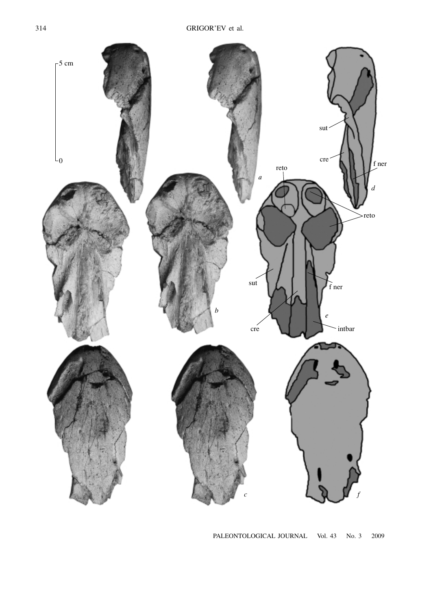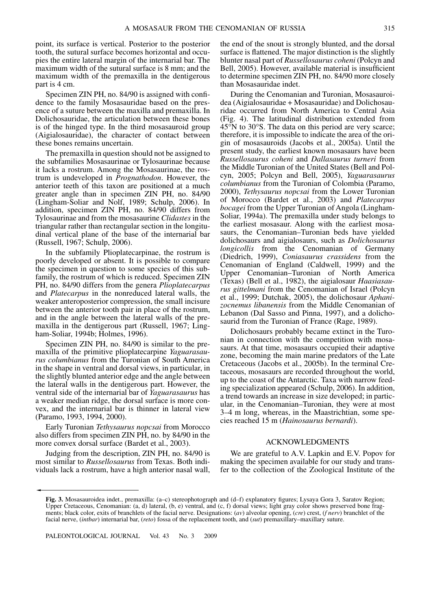point, its surface is vertical. Posterior to the posterior tooth, the sutural surface becomes horizontal and occupies the entire lateral margin of the internarial bar. The maximum width of the sutural surface is 8 mm; and the maximum width of the premaxilla in the dentigerous part is 4 cm.

Specimen ZIN PH, no. 84/90 is assigned with confidence to the family Mosasauridae based on the presence of a suture between the maxilla and premaxilla. In Dolichosauridae, the articulation between these bones is of the hinged type. In the third mosasauroid group (Aigialosauridae), the character of contact between these bones remains uncertain.

The premaxilla in question should not be assigned to the subfamilies Mosasaurinae or Tylosaurinae because it lacks a rostrum. Among the Mosasaurinae, the rostrum is undeveloped in *Prognathodon*. However, the anterior teeth of this taxon are positioned at a much greater angle than in specimen ZIN PH, no. 84/90 (Lingham-Soliar and Nolf, 1989; Schulp, 2006). In addition, specimen ZIN PH, no. 84/90 differs from Tylosaurinae and from the mosasaurine *Clidastes* in the triangular rather than rectangular section in the longitudinal vertical plane of the base of the internarial bar (Russell, 1967; Schulp, 2006).

In the subfamily Plioplatecarpinae, the rostrum is poorly developed or absent. It is possible to compare the specimen in question to some species of this subfamily, the rostrum of which is reduced. Specimen ZIN PH, no. 84/90 differs from the genera *Plioplatecarpus* and *Platecarpus* in the nonreduced lateral walls, the weaker anteroposterior compression, the small incisure between the anterior tooth pair in place of the rostrum, and in the angle between the lateral walls of the premaxilla in the dentigerous part (Russell, 1967; Lingham-Soliar, 1994b; Holmes, 1996).

Specimen ZIN PH, no. 84/90 is similar to the premaxilla of the primitive plioplatecarpine *Yaguarasaurus columbianus* from the Turonian of South America in the shape in ventral and dorsal views, in particular, in the slightly blunted anterior edge and the angle between the lateral walls in the dentigerous part. However, the ventral side of the internarial bar of *Yaguarasaurus* has a weaker median ridge, the dorsal surface is more convex, and the internarial bar is thinner in lateral view (Paramo, 1993, 1994, 2000).

Early Turonian *Tethysaurus nopcsai* from Morocco also differs from specimen ZIN PH, no. by 84/90 in the more convex dorsal surface (Bardet et al., 2003).

Judging from the description, ZIN PH, no. 84/90 is most similar to *Russellosaurus* from Texas. Both individuals lack a rostrum, have a high anterior nasal wall,

the end of the snout is strongly blunted, and the dorsal surface is flattened. The major distinction is the slightly blunter nasal part of *Russellosaurus coheni* (Polcyn and Bell, 2005). However, available material is insufficient to determine specimen ZIN PH, no. 84/90 more closely than Mosasauridae indet.

During the Cenomanian and Turonian, Mosasauroidea (Aigialosauridae + Mosasauridae) and Dolichosauridae occurred from North America to Central Asia (Fig. 4). The latitudinal distribution extended from 45°N to 30°S. The data on this period are very scarce; therefore, it is impossible to indicate the area of the origin of mosasauroids (Jacobs et al., 2005a). Until the present study, the earliest known mosasaurs have been *Russellosaurus coheni* and *Dallasaurus turneri* from the Middle Turonian of the United States (Bell and Polcyn, 2005; Polcyn and Bell, 2005), *Yaguarasaurus columbianus* from the Turonian of Colombia (Paramo, 2000), *Tethysaurus nopcsai* from the Lower Turonian of Morocco (Bardet et al., 2003) and *Platecarpus bocagei* from the Upper Turonian of Angola (Lingham-Soliar, 1994a). The premaxilla under study belongs to the earliest mosasaur. Along with the earliest mosasaurs, the Cenomanian–Turonian beds have yielded dolichosaurs and aigialosaurs, such as *Dolichosaurus longicollis* from the Cenomanian of Germany (Diedrich, 1999), *Coniasaurus crassidens* from the Cenomanian of England (Caldwell, 1999) and the Upper Cenomanian–Turonian of North America (Texas) (Bell et al., 1982), the aigialosaur *Haasiasaurus gittelmani* from the Cenomanian of Israel (Polcyn et al., 1999; Dutchak, 2005), the dolichosaur *Aphanizocnemus libanensis* from the Middle Cenomanian of Lebanon (Dal Sasso and Pinna, 1997), and a dolichosaurid from the Turonian of France (Rage, 1989).

Dolichosaurs probably became extinct in the Turonian in connection with the competition with mosasaurs. At that time, mosasaurs occupied their adaptive zone, becoming the main marine predators of the Late Cretaceous (Jacobs et al., 2005b). In the terminal Cretaceous, mosasaurs are recorded throughout the world, up to the coast of the Antarctic. Taxa with narrow feeding specialization appeared (Schulp, 2006). In addition, a trend towards an increase in size developed; in particular, in the Cenomanian–Turonian, they were at most 3–4 m long, whereas, in the Maastrichtian, some species reached 15 m (*Hainosaurus bernardi*).

## ACKNOWLEDGMENTS

We are grateful to A.V. Lapkin and E.V. Popov for making the specimen available for our study and transfer to the collection of the Zoological Institute of the

**Fig. 3.** Mosasauroidea indet., premaxilla: (a–c) stereophotograph and (d–f) explanatory figures; Lysaya Gora 3, Saratov Region; Upper Cretaceous, Cenomanian: (a, d) lateral, (b, e) ventral, and (c, f) dorsal views; light gray color shows preserved bone fragments; black color, exits of branchlets of the facial nerve. Designations: (*av*) alveolar opening, (*cre*) crest, (*f nerv*) branchlet of the facial nerve, (*intbar*) internarial bar, (*reto*) fossa of the replacement tooth, and (*sut*) premaxillary–maxillary suture.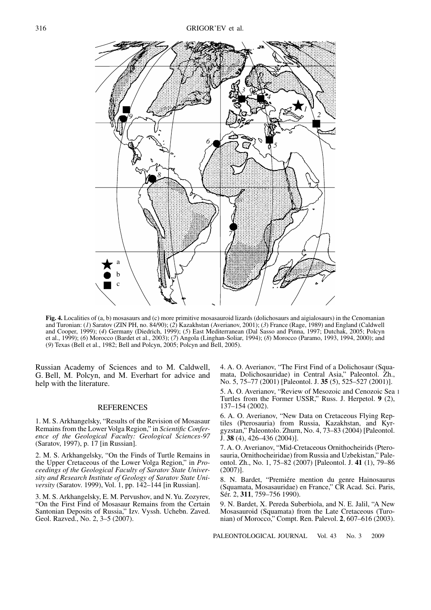

**Fig. 4.** Localities of (a, b) mosasaurs and (c) more primitive mosasauroid lizards (dolichosaurs and aigialosaurs) in the Cenomanian and Turonian: (*1*) Saratov (ZIN PH, no. 84/90); (*2*) Kazakhstan (Averianov, 2001); (*3*) France (Rage, 1989) and England (Caldwell and Cooper, 1999); (*4*) Germany (Diedrich, 1999); (*5*) East Mediterranean (Dal Sasso and Pinna, 1997; Dutchak, 2005; Polcyn et al., 1999); (*6*) Morocco (Bardet et al., 2003); (*7*) Angola (Linghan-Soliar, 1994); (*8*) Morocco (Paramo, 1993, 1994, 2000); and (*9*) Texas (Bell et al., 1982; Bell and Polcyn, 2005; Polcyn and Bell, 2005).

Russian Academy of Sciences and to M. Caldwell, G. Bell, M. Polcyn, and M. Everhart for advice and help with the literature.

#### REFERENCES

1. M. S. Arkhangelsky, "Results of the Revision of Mosasaur Remains from the Lower Volga Region," in *Scientific Conference of the Geological Faculty: Geological Sciences-97* (Saratov, 1997), p. 17 [in Russian].

2. M. S. Arkhangelsky, "On the Finds of Turtle Remains in the Upper Cretaceous of the Lower Volga Region," in *Proceedings of the Geological Faculty of Saratov State University and Research Institute of Geology of Saratov State University* (Saratov. 1999), Vol. 1, pp. 142–144 [in Russian].

3. M. S. Arkhangelsky, E. M. Pervushov, and N. Yu. Zozyrev, "On the First Find of Mosasaur Remains from the Certain Santonian Deposits of Russia," Izv. Vyssh. Uchebn. Zaved. Geol. Razved., No. 2, 3–5 (2007).

4. A. O. Averianov, "The First Find of a Dolichosaur (Squamata, Dolichosauridae) in Central Asia," Paleontol. Zh., No. 5, 75–77 (2001) [Paleontol. J. **35** (5), 525–527 (2001)].

5. A. O. Averianov, "Review of Mesozoic and Cenozoic Sea 1 Turtles from the Former USSR," Russ. J. Herpetol. **9** (2), 137–154 (2002).

6. A. O. Averianov, "New Data on Cretaceous Flying Reptiles (Pterosauria) from Russia, Kazakhstan, and Kyrgyzstan," Paleontolo. Zhurn, No. 4, 73–83 (2004) [Paleontol. J. **38** (4), 426–436 (2004)].

7. A. O. Averianov, "Mid-Cretaceous Ornithocheirids (Pterosauria, Ornithocheiridae) from Russia and Uzbekistan," Paleontol. Zh., No. 1, 75–82 (2007) [Paleontol. J. **41** (1), 79–86 (2007)].

8. N. Bardet, "Premiére mention du genre Hainosaurus (Squamata, Mosasauridae) en France," CR Acad. Sci. Paris, Sér. 2, **311**, 759–756 1990).

9. N. Bardet, X. Pereda Suberbiola, and N. E. Jalil, "A New Mosasauroid (Squamata) from the Late Cretaceous (Turonian) of Morocco," Compt. Ren. Palevol. **2**, 607–616 (2003).

PALEONTOLOGICAL JOURNAL Vol. 43 No. 3 2009